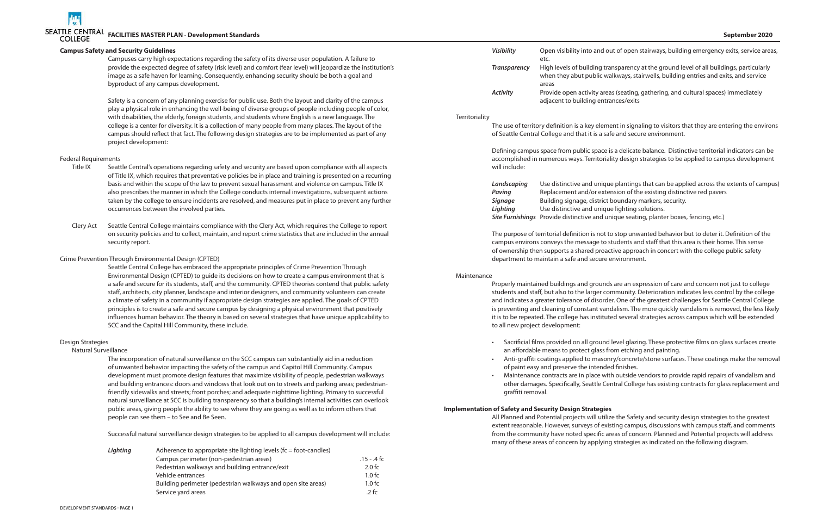nd out of open stairways, building emergency exits, service areas,

Ig transparency at the ground level of all buildings, particularly ic walkways, stairwells, building entries and exits, and service

*A* areas (seating, gathering, and cultural spaces) immediately

nique plantings that can be applied across the extents of campus) extension of the existing distinctive red pavers

# **Campus Safety and Security Guidelines**

Campuses carry high expectations regarding the safety of its diverse user population. A failure to provide the expected degree of safety (risk level) and comfort (fear level) will jeopardize the institution's image as a safe haven for learning. Consequently, enhancing security should be both a goal and byproduct of any campus development.

Safety is a concern of any planning exercise for public use. Both the layout and clarity of the campus play a physical role in enhancing the well-being of diverse groups of people including people of color, with disabilities, the elderly, foreign students, and students where English is a new language. The college is a center for diversity. It is a collection of many people from many places. The layout of the campus should reflect that fact. The following design strategies are to be implemented as part of any project development:

# Federal Requirements

- Title IX Seattle Central's operations regarding safety and security are based upon compliance with all aspects of Title IX, which requires that preventative policies be in place and training is presented on a recurring basis and within the scope of the law to prevent sexual harassment and violence on campus. Title IX also prescribes the manner in which the College conducts internal investigations, subsequent actions taken by the college to ensure incidents are resolved, and measures put in place to prevent any further occurrences between the involved parties.
- Clery Act Seattle Central College maintains compliance with the Clery Act, which requires the College to report on security policies and to collect, maintain, and report crime statistics that are included in the annual security report.

# Crime Prevention Through Environmental Design (CPTED)

Seattle Central College has embraced the appropriate principles of Crime Prevention Through Environmental Design (CPTED) to guide its decisions on how to create a campus environment that is a safe and secure for its students, staff, and the community. CPTED theories contend that public safety staff, architects, city planner, landscape and interior designers, and community volunteers can create a climate of safety in a community if appropriate design strategies are applied. The goals of CPTED principles is to create a safe and secure campus by designing a physical environment that positively influences human behavior. The theory is based on several strategies that have unique applicability to SCC and the Capital Hill Community, these include.

- *Signager* Building trict boundary markers, security.
- nique lighting solutions.
- *Site Furnishings* Provide distinctive and unique seating, planter boxes, fencing, etc.)

# Design Strategies

# Natural Surveillance

The incorporation of natural surveillance on the SCC campus can substantially aid in a reduction of unwanted behavior impacting the safety of the campus and Capitol Hill Community. Campus development must promote design features that maximize visibility of people, pedestrian walkways and building entrances: doors and windows that look out on to streets and parking areas; pedestrianfriendly sidewalks and streets; front porches; and adequate nighttime lighting. Primary to successful natural surveillance at SCC is building transparency so that a building's internal activities can overlook public areas, giving people the ability to see where they are going as well as to inform others that people can see them – to See and Be Seen.

Successful natural surveillance design strategies to be applied to all campus development will include:

| Lighting | Adherence to appropriate site lighting levels ( $fc = foot-candes$ ) |                    |  |
|----------|----------------------------------------------------------------------|--------------------|--|
|          | Campus perimeter (non-pedestrian areas)                              | $.15 - .4$ fc      |  |
|          | Pedestrian walkways and building entrance/exit                       | 2.0 f <sub>C</sub> |  |
|          | Vehicle entrances                                                    | 1.0 f <sub>C</sub> |  |
|          | Building perimeter (pedestrian walkways and open site areas)         | 1.0 f <sub>C</sub> |  |
|          | Service yard areas                                                   | $.2$ fc            |  |

| Visibility   | Open visibility into and out of open s<br>etc.                              |
|--------------|-----------------------------------------------------------------------------|
| Transparency | High levels of building transparency<br>when they abut public walkways, sta |
|              | areas                                                                       |
| Activity     | Provide open activity areas (seating,                                       |
|              | adjacent to building entrances/exits                                        |

### **Territoriality**

The use of territory definition is a key element in signaling to visitors that they are entering the environs of Seattle Central College and that it is a safe and secure environment.

Defining campus space from public space is a delicate balance. Distinctive territorial indicators can be accomplished in numerous ways. Territoriality design strategies to be applied to campus development will include:

| Landscaping    | Use distinctive and u                   |
|----------------|-----------------------------------------|
| Paving         | Replacement and/or                      |
| <b>Signage</b> | Building signage, dist                  |
| Lighting       | Use distinctive and ui                  |
|                | Site Furnishings Provide distinctive ar |

The purpose of territorial definition is not to stop unwanted behavior but to deter it. Definition of the campus environs conveys the message to students and staff that this area is their home. This sense of ownership then supports a shared proactive approach in concert with the college public safety department to maintain a safe and secure environment.

Maintenance

Properly maintained buildings and grounds are an expression of care and concern not just to college students and staff, but also to the larger community. Deterioration indicates less control by the college and indicates a greater tolerance of disorder. One of the greatest challenges for Seattle Central College is preventing and cleaning of constant vandalism. The more quickly vandalism is removed, the less likely it is to be repeated. The college has instituted several strategies across campus which will be extended to all new project development:

• Sacrificial films provided on all ground level glazing. These protective films on glass surfaces create

• Anti-graffiti coatings applied to masonry/concrete/stone surfaces. These coatings make the removal

- an affordable means to protect glass from etching and painting.
- of paint easy and preserve the intended finishes.
- graffiti removal.

• Maintenance contracts are in place with outside vendors to provide rapid repairs of vandalism and other damages. Specifically, Seattle Central College has existing contracts for glass replacement and

# **Implementation of Safety and Security Design Strategies**

All Planned and Potential projects will utilize the Safety and security design strategies to the greatest extent reasonable. However, surveys of existing campus, discussions with campus staff, and comments from the community have noted specific areas of concern. Planned and Potential projects will address many of these areas of concern by applying strategies as indicated on the following diagram.